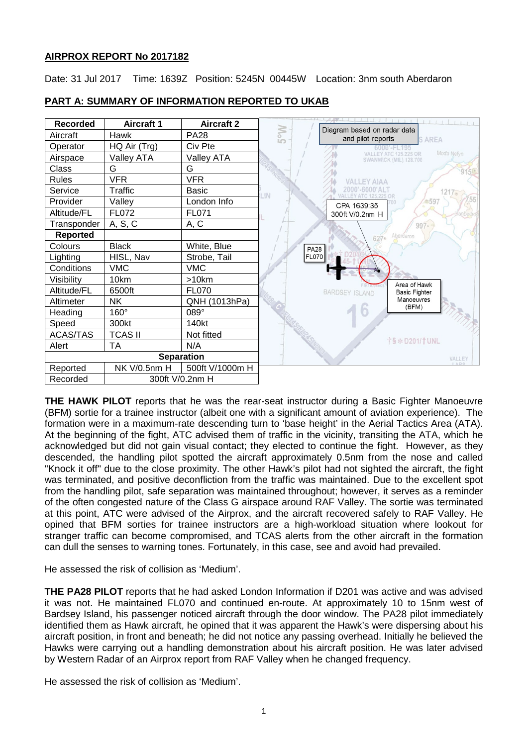# **AIRPROX REPORT No 2017182**

Date: 31 Jul 2017 Time: 1639Z Position: 5245N 00445W Location: 3nm south Aberdaron

| <b>Recorded</b>   | <b>Aircraft 1</b> | <b>Aircraft 2</b> | <b>THE FEBRUARY</b>                                                       |
|-------------------|-------------------|-------------------|---------------------------------------------------------------------------|
| Aircraft          | Hawk              | <b>PA28</b>       | $M_0$<br>Diagram based on radar data<br>and pilot reports<br><b>SAREA</b> |
| Operator          | HQ Air (Trg)      | Civ Pte           | 6000'-FL195                                                               |
| Airspace          | <b>Valley ATA</b> | <b>Valley ATA</b> | Morfa Nefyn<br>VALLEY ATC 125.225 OR<br><b>SWANWICK (MIL) 128.700</b>     |
| Class             | G                 | G                 |                                                                           |
| <b>Rules</b>      | <b>VFR</b>        | <b>VFR</b>        | <b>VALLEY AIAA</b>                                                        |
| Service           | Traffic           | <b>Basic</b>      | 2000'-6000'ALT<br>1217°<br>LIN<br>VALLEY ATC 125,225 OR                   |
| Provider          | Valley            | London Info       | €597<br>CPA 1639:35                                                       |
| Altitude/FL       | FL072             | FL071             | 300ft V/0.2nm H                                                           |
| Transponder       | A, S, C           | A, C              | $997 -$                                                                   |
| <b>Reported</b>   |                   |                   | Aberdaron<br>627°                                                         |
| Colours           | <b>Black</b>      | White, Blue       | <b>PA28</b>                                                               |
| Lighting          | HISL, Nav         | Strobe, Tail      | <b>FL070</b>                                                              |
| Conditions        | <b>VMC</b>        | <b>VMC</b>        |                                                                           |
| Visibility        | 10km              | >10km             | Area of Hawk                                                              |
| Altitude/FL       | 6500ft            | <b>FL070</b>      | <b>BARDSEY ISLAND</b><br><b>Basic Fighter</b>                             |
| Altimeter         | <b>NK</b>         | QNH (1013hPa)     | <b>Manoeuvres</b><br>(BFM)                                                |
| Heading           | $160^\circ$       | 089°              |                                                                           |
| Speed             | 300kt             | 140kt             |                                                                           |
| <b>ACAS/TAS</b>   | <b>TCAS II</b>    | Not fitted        |                                                                           |
| Alert             | <b>TA</b>         | N/A               | †§ * D201/ ↑ UNL                                                          |
| <b>Separation</b> |                   |                   | VALLEY                                                                    |
| Reported          | NK V/0.5nm H      | 500ft V/1000m H   |                                                                           |
| Recorded          | 300ft V/0.2nm H   |                   |                                                                           |

## **PART A: SUMMARY OF INFORMATION REPORTED TO UKAB**

**THE HAWK PILOT** reports that he was the rear-seat instructor during a Basic Fighter Manoeuvre (BFM) sortie for a trainee instructor (albeit one with a significant amount of aviation experience). The formation were in a maximum-rate descending turn to 'base height' in the Aerial Tactics Area (ATA). At the beginning of the fight, ATC advised them of traffic in the vicinity, transiting the ATA, which he acknowledged but did not gain visual contact; they elected to continue the fight. However, as they descended, the handling pilot spotted the aircraft approximately 0.5nm from the nose and called "Knock it off" due to the close proximity. The other Hawk's pilot had not sighted the aircraft, the fight was terminated, and positive deconfliction from the traffic was maintained. Due to the excellent spot from the handling pilot, safe separation was maintained throughout; however, it serves as a reminder of the often congested nature of the Class G airspace around RAF Valley. The sortie was terminated at this point, ATC were advised of the Airprox, and the aircraft recovered safely to RAF Valley. He opined that BFM sorties for trainee instructors are a high-workload situation where lookout for stranger traffic can become compromised, and TCAS alerts from the other aircraft in the formation can dull the senses to warning tones. Fortunately, in this case, see and avoid had prevailed.

He assessed the risk of collision as 'Medium'.

**THE PA28 PILOT** reports that he had asked London Information if D201 was active and was advised it was not. He maintained FL070 and continued en-route. At approximately 10 to 15nm west of Bardsey Island, his passenger noticed aircraft through the door window. The PA28 pilot immediately identified them as Hawk aircraft, he opined that it was apparent the Hawk's were dispersing about his aircraft position, in front and beneath; he did not notice any passing overhead. Initially he believed the Hawks were carrying out a handling demonstration about his aircraft position. He was later advised by Western Radar of an Airprox report from RAF Valley when he changed frequency.

He assessed the risk of collision as 'Medium'.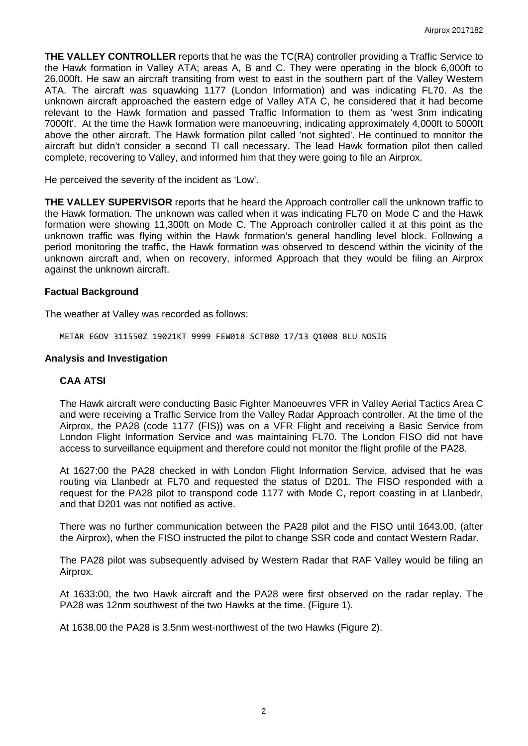**THE VALLEY CONTROLLER** reports that he was the TC(RA) controller providing a Traffic Service to the Hawk formation in Valley ATA; areas A, B and C. They were operating in the block 6,000ft to 26,000ft. He saw an aircraft transiting from west to east in the southern part of the Valley Western ATA. The aircraft was squawking 1177 (London Information) and was indicating FL70. As the unknown aircraft approached the eastern edge of Valley ATA C, he considered that it had become relevant to the Hawk formation and passed Traffic Information to them as 'west 3nm indicating 7000ft'. At the time the Hawk formation were manoeuvring, indicating approximately 4,000ft to 5000ft above the other aircraft. The Hawk formation pilot called 'not sighted'. He continued to monitor the aircraft but didn't consider a second TI call necessary. The lead Hawk formation pilot then called complete, recovering to Valley, and informed him that they were going to file an Airprox.

He perceived the severity of the incident as 'Low'.

**THE VALLEY SUPERVISOR** reports that he heard the Approach controller call the unknown traffic to the Hawk formation. The unknown was called when it was indicating FL70 on Mode C and the Hawk formation were showing 11,300ft on Mode C. The Approach controller called it at this point as the unknown traffic was flying within the Hawk formation's general handling level block. Following a period monitoring the traffic, the Hawk formation was observed to descend within the vicinity of the unknown aircraft and, when on recovery, informed Approach that they would be filing an Airprox against the unknown aircraft.

### **Factual Background**

The weather at Valley was recorded as follows:

METAR EGOV 311550Z 19021KT 9999 FEW018 SCT080 17/13 Q1008 BLU NOSIG

#### **Analysis and Investigation**

### **CAA ATSI**

The Hawk aircraft were conducting Basic Fighter Manoeuvres VFR in Valley Aerial Tactics Area C and were receiving a Traffic Service from the Valley Radar Approach controller. At the time of the Airprox, the PA28 (code 1177 (FIS)) was on a VFR Flight and receiving a Basic Service from London Flight Information Service and was maintaining FL70. The London FISO did not have access to surveillance equipment and therefore could not monitor the flight profile of the PA28.

At 1627:00 the PA28 checked in with London Flight Information Service, advised that he was routing via Llanbedr at FL70 and requested the status of D201. The FISO responded with a request for the PA28 pilot to transpond code 1177 with Mode C, report coasting in at Llanbedr, and that D201 was not notified as active.

There was no further communication between the PA28 pilot and the FISO until 1643.00, (after the Airprox), when the FISO instructed the pilot to change SSR code and contact Western Radar.

The PA28 pilot was subsequently advised by Western Radar that RAF Valley would be filing an Airprox.

At 1633:00, the two Hawk aircraft and the PA28 were first observed on the radar replay. The PA28 was 12nm southwest of the two Hawks at the time. (Figure 1).

At 1638.00 the PA28 is 3.5nm west-northwest of the two Hawks (Figure 2).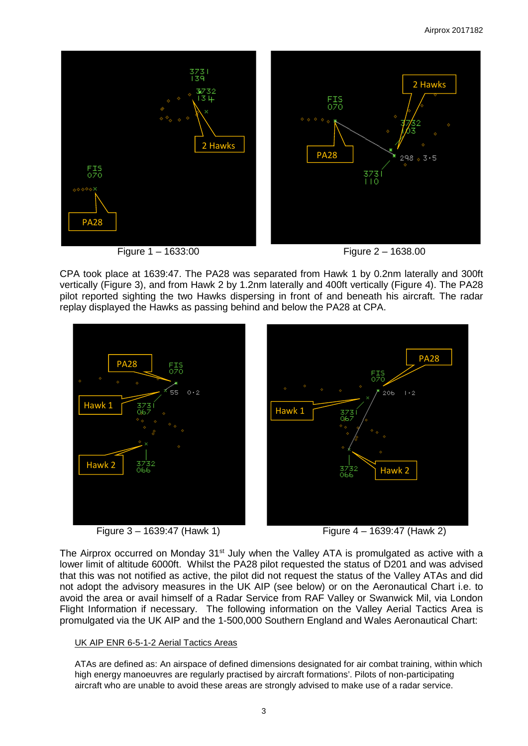



CPA took place at 1639:47. The PA28 was separated from Hawk 1 by 0.2nm laterally and 300ft vertically (Figure 3), and from Hawk 2 by 1.2nm laterally and 400ft vertically (Figure 4). The PA28 pilot reported sighting the two Hawks dispersing in front of and beneath his aircraft. The radar replay displayed the Hawks as passing behind and below the PA28 at CPA.





The Airprox occurred on Monday 31<sup>st</sup> July when the Valley ATA is promulgated as active with a lower limit of altitude 6000ft. Whilst the PA28 pilot requested the status of D201 and was advised that this was not notified as active, the pilot did not request the status of the Valley ATAs and did not adopt the advisory measures in the UK AIP (see below) or on the Aeronautical Chart i.e. to avoid the area or avail himself of a Radar Service from RAF Valley or Swanwick Mil, via London Flight Information if necessary. The following information on the Valley Aerial Tactics Area is promulgated via the UK AIP and the 1-500,000 Southern England and Wales Aeronautical Chart:

# UK AIP ENR 6-5-1-2 Aerial Tactics Areas

ATAs are defined as: An airspace of defined dimensions designated for air combat training, within which high energy manoeuvres are regularly practised by aircraft formations'. Pilots of non-participating aircraft who are unable to avoid these areas are strongly advised to make use of a radar service.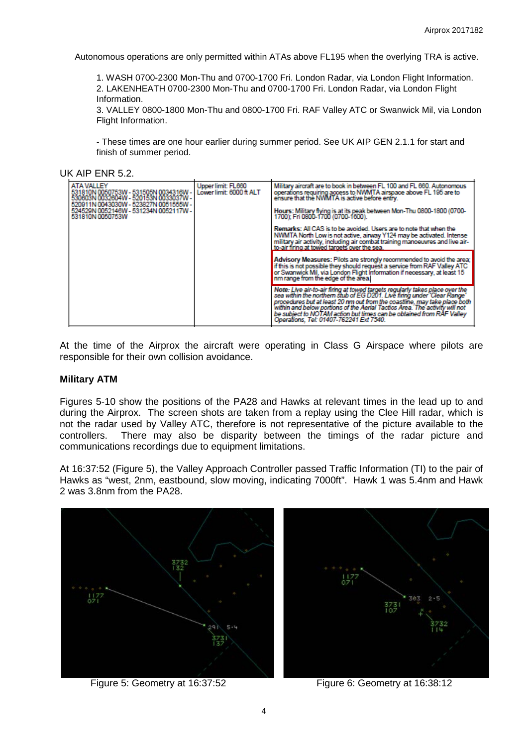Autonomous operations are only permitted within ATAs above FL195 when the overlying TRA is active.

1. WASH 0700-2300 Mon-Thu and 0700-1700 Fri. London Radar, via London Flight Information. 2. LAKENHEATH 0700-2300 Mon-Thu and 0700-1700 Fri. London Radar, via London Flight Information.

3. VALLEY 0800-1800 Mon-Thu and 0800-1700 Fri. RAF Valley ATC or Swanwick Mil, via London Flight Information.

- These times are one hour earlier during summer period. See UK AIP GEN 2.1.1 for start and finish of summer period.

UK AIP ENR 5.2.

| <b>ATA VALLEY</b><br>531810N 0050753W - 531505N 0034316W -<br>530603N 0032604W - 520153N 0033037W -<br>520911N 0043030W - 523827N 0051555W - | Upper limit: FL660<br>Lower limit: 6000 ft ALT | Military aircraft are to book in between FL 100 and FL 660. Autonomous<br>operations requiring access to NWMTA airspace above FL 195 are to<br>ensure that the NWMTA is active before entry.                                                                                                                                                                                                                                             |
|----------------------------------------------------------------------------------------------------------------------------------------------|------------------------------------------------|------------------------------------------------------------------------------------------------------------------------------------------------------------------------------------------------------------------------------------------------------------------------------------------------------------------------------------------------------------------------------------------------------------------------------------------|
| 524529N 0052146W - 531234N 0052117W -<br>531810N 0050753W                                                                                    |                                                | Hours: Military flying is at its peak between Mon-Thu 0800-1800 (0700-<br>1700); Fri 0800-1700 (0700-1600).                                                                                                                                                                                                                                                                                                                              |
|                                                                                                                                              |                                                | Remarks: All CAS is to be avoided. Users are to note that when the<br>NWMTA North Low is not active, airway Y124 may be activated. Intense<br>military air activity, including air combat training manoeuvres and live air-<br>to air firing at towed targets over the sea.                                                                                                                                                              |
|                                                                                                                                              |                                                | Advisory Measures: Pilots are strongly recommended to avoid the area;<br>if this is not possible they should request a service from RAF Valley ATC<br>or Swanwick Mil, via London Flight Information if necessary, at least 15<br>nm range from the edge of the area.                                                                                                                                                                    |
|                                                                                                                                              |                                                | Note: Live air-to-air firing at towed targets regularly takes place over the<br>sea within the northern stub of EG D201. Live firing under 'Clear Range'<br>procedures but at least 20 nm out from the coastlifie, may take place both<br>within and below portions of the Aerial Tactics Area. The activity will not<br>be subject to NOTAM action but times can be obtained from RÅF Valley<br>Operations, Tel: 01407-762241 Ext 7540. |
|                                                                                                                                              |                                                |                                                                                                                                                                                                                                                                                                                                                                                                                                          |

At the time of the Airprox the aircraft were operating in Class G Airspace where pilots are responsible for their own collision avoidance.

### **Military ATM**

Figures 5-10 show the positions of the PA28 and Hawks at relevant times in the lead up to and during the Airprox. The screen shots are taken from a replay using the Clee Hill radar, which is not the radar used by Valley ATC, therefore is not representative of the picture available to the controllers. There may also be disparity between the timings of the radar picture and communications recordings due to equipment limitations.

At 16:37:52 (Figure 5), the Valley Approach Controller passed Traffic Information (TI) to the pair of Hawks as "west, 2nm, eastbound, slow moving, indicating 7000ft". Hawk 1 was 5.4nm and Hawk 2 was 3.8nm from the PA28.



Figure 5: Geometry at 16:37:52 Figure 6: Geometry at 16:38:12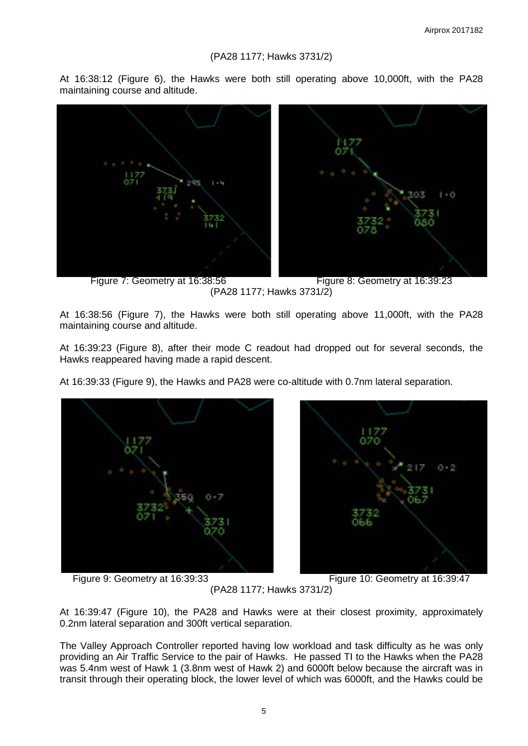At 16:38:12 (Figure 6), the Hawks were both still operating above 10,000ft, with the PA28 maintaining course and altitude.



Figure 7: Geometry at 16:38:56 Figure 8: Geometry at 16:39:23 (PA28 1177; Hawks 3731/2)

At 16:38:56 (Figure 7), the Hawks were both still operating above 11,000ft, with the PA28 maintaining course and altitude.

At 16:39:23 (Figure 8), after their mode C readout had dropped out for several seconds, the Hawks reappeared having made a rapid descent.

At 16:39:33 (Figure 9), the Hawks and PA28 were co-altitude with 0.7nm lateral separation.







Figure 9: Geometry at 16:39:33 Figure 10: Geometry at 16:39:47

(PA28 1177; Hawks 3731/2)

At 16:39:47 (Figure 10), the PA28 and Hawks were at their closest proximity, approximately 0.2nm lateral separation and 300ft vertical separation.

The Valley Approach Controller reported having low workload and task difficulty as he was only providing an Air Traffic Service to the pair of Hawks. He passed TI to the Hawks when the PA28 was 5.4nm west of Hawk 1 (3.8nm west of Hawk 2) and 6000ft below because the aircraft was in transit through their operating block, the lower level of which was 6000ft, and the Hawks could be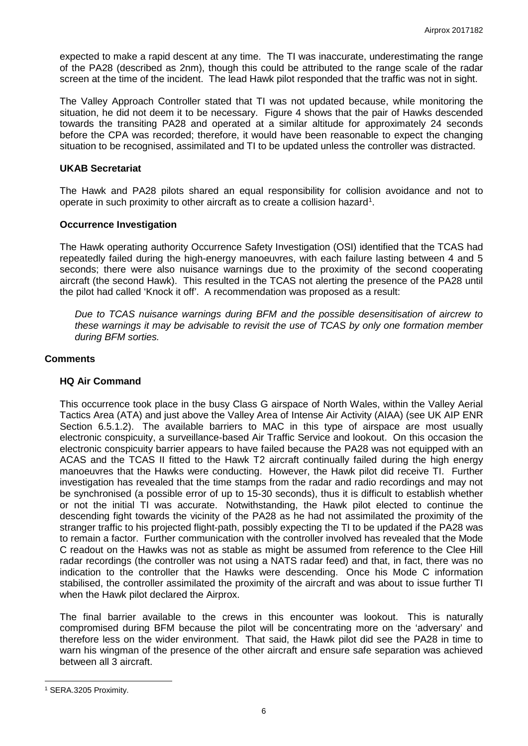expected to make a rapid descent at any time. The TI was inaccurate, underestimating the range of the PA28 (described as 2nm), though this could be attributed to the range scale of the radar screen at the time of the incident. The lead Hawk pilot responded that the traffic was not in sight.

The Valley Approach Controller stated that TI was not updated because, while monitoring the situation, he did not deem it to be necessary. Figure 4 shows that the pair of Hawks descended towards the transiting PA28 and operated at a similar altitude for approximately 24 seconds before the CPA was recorded; therefore, it would have been reasonable to expect the changing situation to be recognised, assimilated and TI to be updated unless the controller was distracted.

### **UKAB Secretariat**

The Hawk and PA28 pilots shared an equal responsibility for collision avoidance and not to operate in such proximity to other aircraft as to create a collision hazard<sup>[1](#page-5-0)</sup>.

## **Occurrence Investigation**

The Hawk operating authority Occurrence Safety Investigation (OSI) identified that the TCAS had repeatedly failed during the high-energy manoeuvres, with each failure lasting between 4 and 5 seconds; there were also nuisance warnings due to the proximity of the second cooperating aircraft (the second Hawk). This resulted in the TCAS not alerting the presence of the PA28 until the pilot had called 'Knock it off'. A recommendation was proposed as a result:

*Due to TCAS nuisance warnings during BFM and the possible desensitisation of aircrew to these warnings it may be advisable to revisit the use of TCAS by only one formation member during BFM sorties.* 

## **Comments**

### **HQ Air Command**

This occurrence took place in the busy Class G airspace of North Wales, within the Valley Aerial Tactics Area (ATA) and just above the Valley Area of Intense Air Activity (AIAA) (see UK AIP ENR Section 6.5.1.2). The available barriers to MAC in this type of airspace are most usually electronic conspicuity, a surveillance-based Air Traffic Service and lookout. On this occasion the electronic conspicuity barrier appears to have failed because the PA28 was not equipped with an ACAS and the TCAS II fitted to the Hawk T2 aircraft continually failed during the high energy manoeuvres that the Hawks were conducting. However, the Hawk pilot did receive TI. Further investigation has revealed that the time stamps from the radar and radio recordings and may not be synchronised (a possible error of up to 15-30 seconds), thus it is difficult to establish whether or not the initial TI was accurate. Notwithstanding, the Hawk pilot elected to continue the descending fight towards the vicinity of the PA28 as he had not assimilated the proximity of the stranger traffic to his projected flight-path, possibly expecting the TI to be updated if the PA28 was to remain a factor. Further communication with the controller involved has revealed that the Mode C readout on the Hawks was not as stable as might be assumed from reference to the Clee Hill radar recordings (the controller was not using a NATS radar feed) and that, in fact, there was no indication to the controller that the Hawks were descending. Once his Mode C information stabilised, the controller assimilated the proximity of the aircraft and was about to issue further TI when the Hawk pilot declared the Airprox.

The final barrier available to the crews in this encounter was lookout. This is naturally compromised during BFM because the pilot will be concentrating more on the 'adversary' and therefore less on the wider environment. That said, the Hawk pilot did see the PA28 in time to warn his wingman of the presence of the other aircraft and ensure safe separation was achieved between all 3 aircraft.

 $\overline{\phantom{a}}$ 

<span id="page-5-0"></span><sup>1</sup> SERA.3205 Proximity.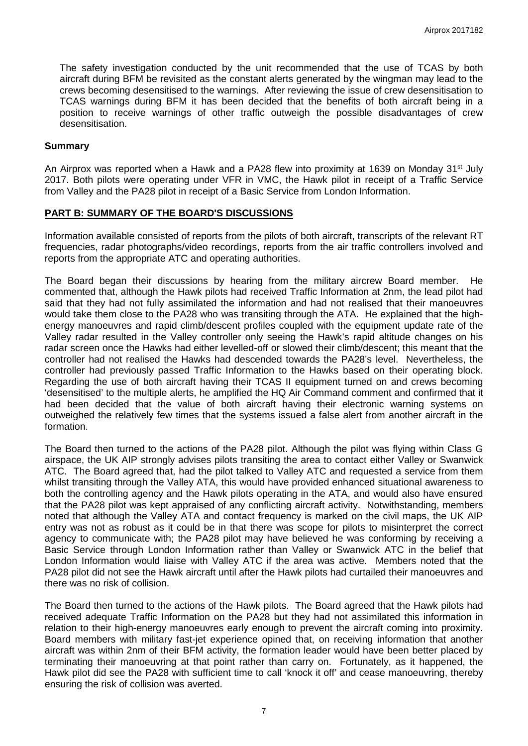The safety investigation conducted by the unit recommended that the use of TCAS by both aircraft during BFM be revisited as the constant alerts generated by the wingman may lead to the crews becoming desensitised to the warnings. After reviewing the issue of crew desensitisation to TCAS warnings during BFM it has been decided that the benefits of both aircraft being in a position to receive warnings of other traffic outweigh the possible disadvantages of crew desensitisation.

## **Summary**

An Airprox was reported when a Hawk and a PA28 flew into proximity at 1639 on Monday 31<sup>st</sup> July 2017. Both pilots were operating under VFR in VMC, the Hawk pilot in receipt of a Traffic Service from Valley and the PA28 pilot in receipt of a Basic Service from London Information.

# **PART B: SUMMARY OF THE BOARD'S DISCUSSIONS**

Information available consisted of reports from the pilots of both aircraft, transcripts of the relevant RT frequencies, radar photographs/video recordings, reports from the air traffic controllers involved and reports from the appropriate ATC and operating authorities.

The Board began their discussions by hearing from the military aircrew Board member. commented that, although the Hawk pilots had received Traffic Information at 2nm, the lead pilot had said that they had not fully assimilated the information and had not realised that their manoeuvres would take them close to the PA28 who was transiting through the ATA. He explained that the highenergy manoeuvres and rapid climb/descent profiles coupled with the equipment update rate of the Valley radar resulted in the Valley controller only seeing the Hawk's rapid altitude changes on his radar screen once the Hawks had either levelled-off or slowed their climb/descent; this meant that the controller had not realised the Hawks had descended towards the PA28's level. Nevertheless, the controller had previously passed Traffic Information to the Hawks based on their operating block. Regarding the use of both aircraft having their TCAS II equipment turned on and crews becoming 'desensitised' to the multiple alerts, he amplified the HQ Air Command comment and confirmed that it had been decided that the value of both aircraft having their electronic warning systems on outweighed the relatively few times that the systems issued a false alert from another aircraft in the formation.

The Board then turned to the actions of the PA28 pilot. Although the pilot was flying within Class G airspace, the UK AIP strongly advises pilots transiting the area to contact either Valley or Swanwick ATC. The Board agreed that, had the pilot talked to Valley ATC and requested a service from them whilst transiting through the Valley ATA, this would have provided enhanced situational awareness to both the controlling agency and the Hawk pilots operating in the ATA, and would also have ensured that the PA28 pilot was kept appraised of any conflicting aircraft activity. Notwithstanding, members noted that although the Valley ATA and contact frequency is marked on the civil maps, the UK AIP entry was not as robust as it could be in that there was scope for pilots to misinterpret the correct agency to communicate with; the PA28 pilot may have believed he was conforming by receiving a Basic Service through London Information rather than Valley or Swanwick ATC in the belief that London Information would liaise with Valley ATC if the area was active. Members noted that the PA28 pilot did not see the Hawk aircraft until after the Hawk pilots had curtailed their manoeuvres and there was no risk of collision.

The Board then turned to the actions of the Hawk pilots. The Board agreed that the Hawk pilots had received adequate Traffic Information on the PA28 but they had not assimilated this information in relation to their high-energy manoeuvres early enough to prevent the aircraft coming into proximity. Board members with military fast-jet experience opined that, on receiving information that another aircraft was within 2nm of their BFM activity, the formation leader would have been better placed by terminating their manoeuvring at that point rather than carry on. Fortunately, as it happened, the Hawk pilot did see the PA28 with sufficient time to call 'knock it off' and cease manoeuvring, thereby ensuring the risk of collision was averted.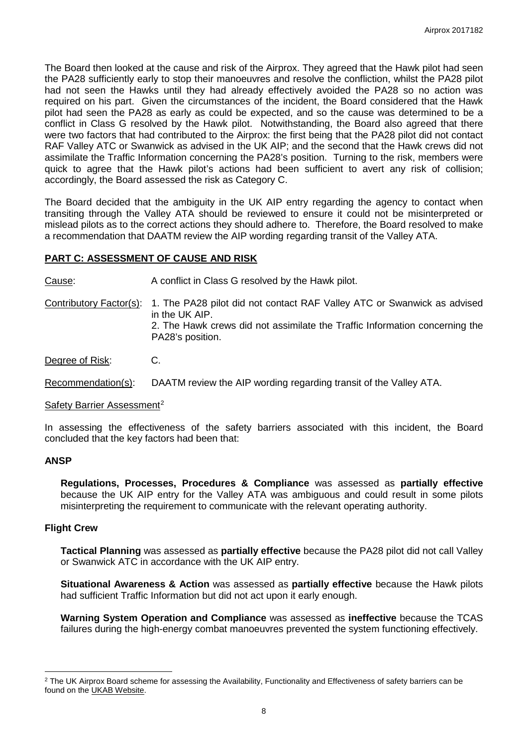The Board then looked at the cause and risk of the Airprox. They agreed that the Hawk pilot had seen the PA28 sufficiently early to stop their manoeuvres and resolve the confliction, whilst the PA28 pilot had not seen the Hawks until they had already effectively avoided the PA28 so no action was required on his part. Given the circumstances of the incident, the Board considered that the Hawk pilot had seen the PA28 as early as could be expected, and so the cause was determined to be a conflict in Class G resolved by the Hawk pilot. Notwithstanding, the Board also agreed that there were two factors that had contributed to the Airprox: the first being that the PA28 pilot did not contact RAF Valley ATC or Swanwick as advised in the UK AIP; and the second that the Hawk crews did not assimilate the Traffic Information concerning the PA28's position. Turning to the risk, members were quick to agree that the Hawk pilot's actions had been sufficient to avert any risk of collision; accordingly, the Board assessed the risk as Category C.

The Board decided that the ambiguity in the UK AIP entry regarding the agency to contact when transiting through the Valley ATA should be reviewed to ensure it could not be misinterpreted or mislead pilots as to the correct actions they should adhere to. Therefore, the Board resolved to make a recommendation that DAATM review the AIP wording regarding transit of the Valley ATA.

## **PART C: ASSESSMENT OF CAUSE AND RISK**

Cause: A conflict in Class G resolved by the Hawk pilot.

Contributory Factor(s): 1. The PA28 pilot did not contact RAF Valley ATC or Swanwick as advised in the UK AIP. 2. The Hawk crews did not assimilate the Traffic Information concerning the PA28's position.

Degree of Risk: C.

Recommendation(s): DAATM review the AIP wording regarding transit of the Valley ATA.

### Safety Barrier Assessment<sup>[2](#page-7-0)</sup>

In assessing the effectiveness of the safety barriers associated with this incident, the Board concluded that the key factors had been that:

### **ANSP**

**Regulations, Processes, Procedures & Compliance** was assessed as **partially effective** because the UK AIP entry for the Valley ATA was ambiguous and could result in some pilots misinterpreting the requirement to communicate with the relevant operating authority.

### **Flight Crew**

l

**Tactical Planning** was assessed as **partially effective** because the PA28 pilot did not call Valley or Swanwick ATC in accordance with the UK AIP entry.

**Situational Awareness & Action** was assessed as **partially effective** because the Hawk pilots had sufficient Traffic Information but did not act upon it early enough.

**Warning System Operation and Compliance** was assessed as **ineffective** because the TCAS failures during the high-energy combat manoeuvres prevented the system functioning effectively.

<span id="page-7-0"></span><sup>&</sup>lt;sup>2</sup> The UK Airprox Board scheme for assessing the Availability, Functionality and Effectiveness of safety barriers can be found on the [UKAB Website.](http://www.airproxboard.org.uk/Learn-more/Airprox-Barrier-Assessment/)